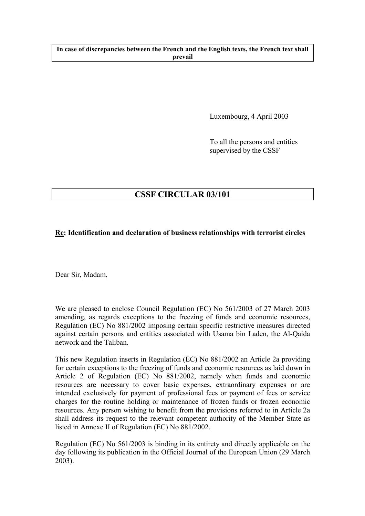## **In case of discrepancies between the French and the English texts, the French text shall prevail**

Luxembourg, 4 April 2003

To all the persons and entities supervised by the CSSF

# **CSSF CIRCULAR 03/101**

## **Re: Identification and declaration of business relationships with terrorist circles**

Dear Sir, Madam,

We are pleased to enclose Council Regulation (EC) No 561/2003 of 27 March 2003 amending, as regards exceptions to the freezing of funds and economic resources, Regulation (EC) No 881/2002 imposing certain specific restrictive measures directed against certain persons and entities associated with Usama bin Laden, the Al-Qaida network and the Taliban.

This new Regulation inserts in Regulation (EC) No 881/2002 an Article 2a providing for certain exceptions to the freezing of funds and economic resources as laid down in Article 2 of Regulation (EC) No 881/2002, namely when funds and economic resources are necessary to cover basic expenses, extraordinary expenses or are intended exclusively for payment of professional fees or payment of fees or service charges for the routine holding or maintenance of frozen funds or frozen economic resources. Any person wishing to benefit from the provisions referred to in Article 2a shall address its request to the relevant competent authority of the Member State as listed in Annexe II of Regulation (EC) No 881/2002.

Regulation (EC) No 561/2003 is binding in its entirety and directly applicable on the day following its publication in the Official Journal of the European Union (29 March 2003).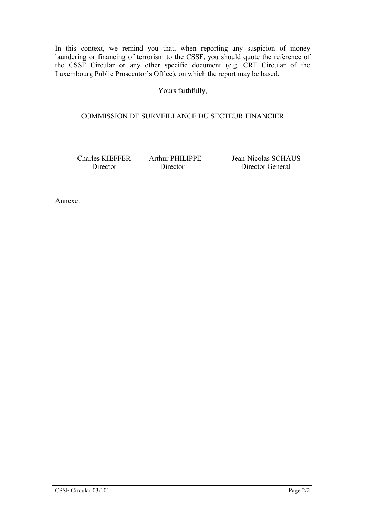In this context, we remind you that, when reporting any suspicion of money laundering or financing of terrorism to the CSSF, you should quote the reference of the CSSF Circular or any other specific document (e.g. CRF Circular of the Luxembourg Public Prosecutor's Office), on which the report may be based.

Yours faithfully,

## COMMISSION DE SURVEILLANCE DU SECTEUR FINANCIER

Charles KIEFFER Arthur PHILIPPE Jean-Nicolas SCHAUS Director Director Director General

Annexe.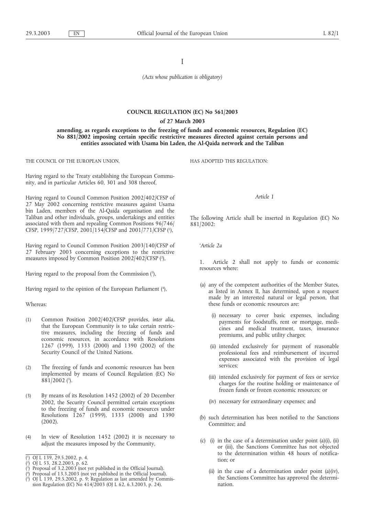I

*(Acts whose publication is obligatory)*

### **COUNCIL REGULATION (EC) No 561/2003 of 27 March 2003**

**amending, as regards exceptions to the freezing of funds and economic resources, Regulation (EC) No 881/2002 imposing certain specific restrictive measures directed against certain persons and entities associated with Usama bin Laden, the Al-Qaida network and the Taliban**

THE COUNCIL OF THE EUROPEAN UNION,

Having regard to the Treaty establishing the European Community, and in particular Articles 60, 301 and 308 thereof,

Having regard to Council Common Position 2002/402/CFSP of 27 May 2002 concerning restrictive measures against Usama bin Laden, members of the Al-Qaida organisation and the Taliban and other individuals, groups, undertakings and entities associated with them and repealing Common Positions 96/746/ CFSP, 1999/727/CFSP, 2001/154/CFSP and 2001/771/CFSP (1 ),

Having regard to Council Common Position 2003/140/CFSP of 27 February 2003 concerning exceptions to the restrictive measures imposed by Common Position 2002/402/CFSP (2 ),

Having regard to the proposal from the Commission (3),

Having regard to the opinion of the European Parliament (4),

#### Whereas:

- (1) Common Position 2002/402/CFSP provides, *inter alia*, that the European Community is to take certain restrictive measures, including the freezing of funds and economic resources, in accordance with Resolutions 1267 (1999), 1333 (2000) and 1390 (2002) of the Security Council of the United Nations.
- (2) The freezing of funds and economic resources has been implemented by means of Council Regulation (EC) No 881/2002 (5 ).
- (3) By means of its Resolution 1452 (2002) of 20 December 2002, the Security Council permitted certain exceptions to the freezing of funds and economic resources under Resolutions 1267 (1999), 1333 (2000) and 1390 (2002).
- (4) In view of Resolution 1452 (2002) it is necessary to adjust the measures imposed by the Community,

- ( 3 ) Proposal of 3.2.2003 (not yet published in the Official Journal).
- $($ <sup>4</sup> ) Proposal of 13.3.2003 (not yet published in the Official Journal).

HAS ADOPTED THIS REGULATION:

#### *Article 1*

The following Article shall be inserted in Regulation (EC) No 881/2002:

*'Article 2a*

1. Article 2 shall not apply to funds or economic resources where:

- (a) any of the competent authorities of the Member States, as listed in Annex II, has determined, upon a request made by an interested natural or legal person, that these funds or economic resources are:
	- (i) necessary to cover basic expenses, including payments for foodstuffs, rent or mortgage, medicines and medical treatment, taxes, insurance premiums, and public utility charges;
	- (ii) intended exclusively for payment of reasonable professional fees and reimbursement of incurred expenses associated with the provision of legal services;
	- (iii) intended exclusively for payment of fees or service charges for the routine holding or maintenance of frozen funds or frozen economic resources; or
	- (iv) necessary for extraordinary expenses; and
- (b) such determination has been notified to the Sanctions Committee; and
- (c) (i) in the case of a determination under point  $(a)(i)$ ,  $(ii)$ or (iii), the Sanctions Committee has not objected to the determination within 48 hours of notification; or
	- (ii) in the case of a determination under point (a)(iv), the Sanctions Committee has approved the determination.

<sup>(</sup> 1 ) OJ L 139, 29.5.2002, p. 4.

<sup>(</sup> 2 ) OJ L 53, 28.2.2003, p. 62.

<sup>(</sup> 5 ) OJ L 139, 29.5.2002, p. 9; Regulation as last amended by Commission Regulation (EC) No 414/2003 (OJ L 62, 6.3.2003, p. 24).